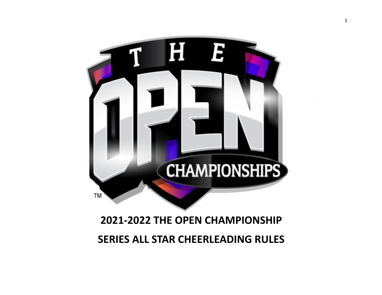

# **2021-2022 THE OPEN CHAMPIONSHIP SERIES ALL STAR CHEERLEADING RULES**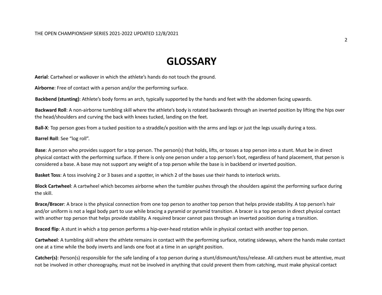## **GLOSSARY**

**Aerial**: Cartwheel or walkover in which the athlete's hands do not touch the ground.

**Airborne**: Free of contact with a person and/or the performing surface.

**Backbend (stunting)**: Athlete's body forms an arch, typically supported by the hands and feet with the abdomen facing upwards.

**Backward Roll**: A non-airborne tumbling skill where the athlete's body is rotated backwards through an inverted position by lifting the hips over the head/shoulders and curving the back with knees tucked, landing on the feet.

**Ball-X**: Top person goes from a tucked position to a straddle/x position with the arms and legs or just the legs usually during a toss.

**Barrel Roll**: See "log roll".

**Base**: A person who provides support for a top person. The person(s) that holds, lifts, or tosses a top person into a stunt. Must be in direct physical contact with the performing surface. If there is only one person under a top person's foot, regardless of hand placement, that person is considered a base. A base may not support any weight of a top person while the base is in backbend or inverted position.

**Basket Toss**: A toss involving 2 or 3 bases and a spotter, in which 2 of the bases use their hands to interlock wrists.

**Block Cartwheel**: A cartwheel which becomes airborne when the tumbler pushes through the shoulders against the performing surface during the skill.

**Brace/Bracer**: A brace is the physical connection from one top person to another top person that helps provide stability. A top person's hair and/or uniform is not a legal body part to use while bracing a pyramid or pyramid transition. A bracer is a top person in direct physical contact with another top person that helps provide stability. A required bracer cannot pass through an inverted position during a transition.

**Braced flip**: A stunt in which a top person performs a hip-over-head rotation while in physical contact with another top person.

**Cartwheel**: A tumbling skill where the athlete remains in contact with the performing surface, rotating sideways, where the hands make contact one at a time while the body inverts and lands one foot at a time in an upright position.

Catcher(s): Person(s) responsible for the safe landing of a top person during a stunt/dismount/toss/release. All catchers must be attentive, must not be involved in other choreography, must not be involved in anything that could prevent them from catching, must make physical contact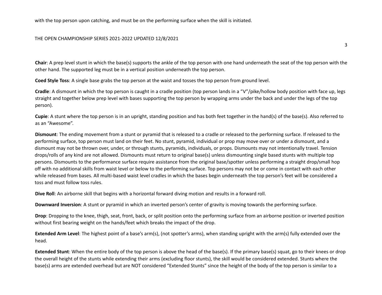with the top person upon catching, and must be on the performing surface when the skill is initiated.

### THE OPEN CHAMPIONSHIP SERIES 2021-2022 UPDATED 12/8/2021

3

**Chair**: A prep level stunt in which the base(s) supports the ankle of the top person with one hand underneath the seat of the top person with the other hand. The supported leg must be in a vertical position underneath the top person.

**Coed Style Toss**: A single base grabs the top person at the waist and tosses the top person from ground level.

**Cradle**: A dismount in which the top person is caught in a cradle position (top person lands in a "V"/pike/hollow body position with face up, legs straight and together below prep level with bases supporting the top person by wrapping arms under the back and under the legs of the top person).

**Cupie**: A stunt where the top person is in an upright, standing position and has both feet together in the hand(s) of the base(s). Also referred to as an "Awesome".

**Dismount**: The ending movement from a stunt or pyramid that is released to a cradle or released to the performing surface. If released to the performing surface, top person must land on their feet. No stunt, pyramid, individual or prop may move over or under a dismount, and a dismount may not be thrown over, under, or through stunts, pyramids, individuals, or props. Dismounts may not intentionally travel. Tension drops/rolls of any kind are not allowed. Dismounts must return to original base(s) unless dismounting single based stunts with multiple top persons. Dismounts to the performance surface require assistance from the original base/spotter unless performing a straight drop/small hop off with no additional skills from waist level or below to the performing surface. Top persons may not be or come in contact with each other while released from bases. All multi-based waist level cradles in which the bases begin underneath the top person's feet will be considered a toss and must follow toss rules.

**Dive Roll**: An airborne skill that begins with a horizontal forward diving motion and results in a forward roll.

**Downward Inversion**: A stunt or pyramid in which an inverted person's center of gravity is moving towards the performing surface.

**Drop**: Dropping to the knee, thigh, seat, front, back, or split position onto the performing surface from an airborne position or inverted position without first bearing weight on the hands/feet which breaks the impact of the drop.

**Extended Arm Level**: The highest point of a base's arm(s), (not spotter's arms), when standing upright with the arm(s) fully extended over the head.

**Extended Stunt**: When the entire body of the top person is above the head of the base(s). If the primary base(s) squat, go to their knees or drop the overall height of the stunts while extending their arms (excluding floor stunts), the skill would be considered extended. Stunts where the base(s) arms are extended overhead but are NOT considered "Extended Stunts" since the height of the body of the top person is similar to a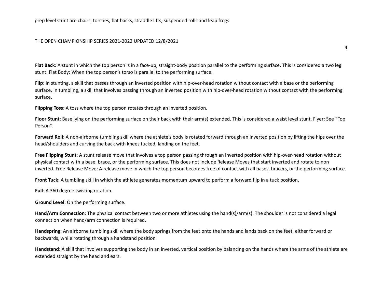prep level stunt are chairs, torches, flat backs, straddle lifts, suspended rolls and leap frogs.

#### THE OPEN CHAMPIONSHIP SERIES 2021-2022 UPDATED 12/8/2021

**Flat Back**: A stunt in which the top person is in a face-up, straight-body position parallel to the performing surface. This is considered a two leg stunt. Flat Body: When the top person's torso is parallel to the performing surface.

**Flip**: In stunting, a skill that passes through an inverted position with hip-over-head rotation without contact with a base or the performing surface. In tumbling, a skill that involves passing through an inverted position with hip-over-head rotation without contact with the performing surface.

**Flipping Toss**: A toss where the top person rotates through an inverted position.

**Floor Stunt**: Base lying on the performing surface on their back with their arm(s) extended. This is considered a waist level stunt. Flyer: See "Top Person".

**Forward Roll**: A non-airborne tumbling skill where the athlete's body is rotated forward through an inverted position by lifting the hips over the head/shoulders and curving the back with knees tucked, landing on the feet.

**Free Flipping Stunt**: A stunt release move that involves a top person passing through an inverted position with hip-over-head rotation without physical contact with a base, brace, or the performing surface. This does not include Release Moves that start inverted and rotate to non inverted. Free Release Move: A release move in which the top person becomes free of contact with all bases, bracers, or the performing surface.

**Front Tuck**: A tumbling skill in which the athlete generates momentum upward to perform a forward flip in a tuck position.

**Full**: A 360 degree twisting rotation.

**Ground Level**: On the performing surface.

**Hand/Arm Connection**: The physical contact between two or more athletes using the hand(s)/arm(s). The shoulder is not considered a legal connection when hand/arm connection is required.

**Handspring**: An airborne tumbling skill where the body springs from the feet onto the hands and lands back on the feet, either forward or backwards, while rotating through a handstand position

**Handstand**: A skill that involves supporting the body in an inverted, vertical position by balancing on the hands where the arms of the athlete are extended straight by the head and ears.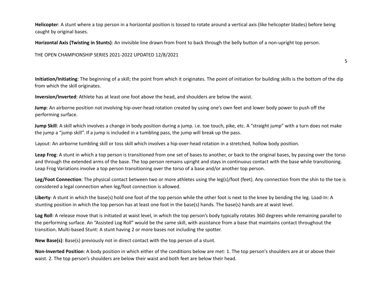**Helicopter**: A stunt where a top person in a horizontal position is tossed to rotate around a vertical axis (like helicopter blades) before being caught by original bases.

**Horizontal Axis (Twisting in Stunts)**: An invisible line drawn from front to back through the belly button of a non-upright top person.

THE OPEN CHAMPIONSHIP SERIES 2021-2022 UPDATED 12/8/2021

**Initiation/Initiating**: The beginning of a skill; the point from which it originates. The point of initiation for building skills is the bottom of the dip from which the skill originates.

5

**Inversion/Inverted**: Athlete has at least one foot above the head, and shoulders are below the waist.

**Jump**: An airborne position not involving hip-over-head rotation created by using one's own feet and lower body power to push off the performing surface.

**Jump Skill**: A skill which involves a change in body position during a jump. i.e. toe touch, pike, etc. A "straight jump" with a turn does not make the jump a "jump skill". If a jump is included in a tumbling pass, the jump will break up the pass.

Layout: An airborne tumbling skill or toss skill which involves a hip-over-head rotation in a stretched, hollow body position.

**Leap Frog**: A stunt in which a top person is transitioned from one set of bases to another, or back to the original bases, by passing over the torso and through the extended arms of the base. The top person remains upright and stays in continuous contact with the base while transitioning. Leap Frog Variations involve a top person transitioning over the torso of a base and/or another top person.

**Leg/Foot Connection**: The physical contact between two or more athletes using the leg(s)/foot (feet). Any connection from the shin to the toe is considered a legal connection when leg/foot connection is allowed.

**Liberty**: A stunt in which the base(s) hold one foot of the top person while the other foot is next to the knee by bending the leg. Load-In: A stunting position in which the top person has at least one foot in the base(s) hands. The base(s) hands are at waist level.

**Log Roll**: A release move that is initiated at waist level, in which the top person's body typically rotates 360 degrees while remaining parallel to the performing surface. An "Assisted Log Roll" would be the same skill, with assistance from a base that maintains contact throughout the transition. Multi-based Stunt: A stunt having 2 or more bases not including the spotter.

**New Base(s)**: Base(s) previously not in direct contact with the top person of a stunt.

**Non-Inverted Position**: A body position in which either of the conditions below are met: 1. The top person's shoulders are at or above their waist. 2. The top person's shoulders are below their waist and both feet are below their head.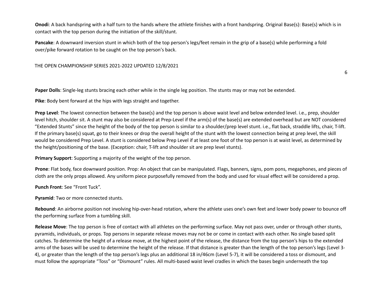**Onodi**: A back handspring with a half turn to the hands where the athlete finishes with a front handspring. Original Base(s): Base(s) which is in contact with the top person during the initiation of the skill/stunt.

**Pancake**: A downward inversion stunt in which both of the top person's legs/feet remain in the grip of a base(s) while performing a fold over/pike forward rotation to be caught on the top person's back.

THE OPEN CHAMPIONSHIP SERIES 2021-2022 UPDATED 12/8/2021

**Paper Dolls**: Single-leg stunts bracing each other while in the single leg position. The stunts may or may not be extended.

**Pike**: Body bent forward at the hips with legs straight and together.

**Prep Level**: The lowest connection between the base(s) and the top person is above waist level and below extended level. i.e., prep, shoulder level hitch, shoulder sit. A stunt may also be considered at Prep-Level if the arm(s) of the base(s) are extended overhead but are NOT considered "Extended Stunts" since the height of the body of the top person is similar to a shoulder/prep level stunt. i.e., flat back, straddle lifts, chair, T-lift. If the primary base(s) squat, go to their knees or drop the overall height of the stunt with the lowest connection being at prep level, the skill would be considered Prep Level. A stunt is considered below Prep Level if at least one foot of the top person is at waist level, as determined by the height/positioning of the base. (Exception: chair, T-lift and shoulder sit are prep level stunts).

**Primary Support**: Supporting a majority of the weight of the top person.

**Prone**: Flat body, face downward position. Prop: An object that can be manipulated. Flags, banners, signs, pom pons, megaphones, and pieces of cloth are the only props allowed. Any uniform piece purposefully removed from the body and used for visual effect will be considered a prop.

**Punch Front**: See "Front Tuck".

**Pyramid**: Two or more connected stunts.

**Rebound**: An airborne position not involving hip-over-head rotation, where the athlete uses one's own feet and lower body power to bounce off the performing surface from a tumbling skill.

**Release Move**: The top person is free of contact with all athletes on the performing surface. May not pass over, under or through other stunts, pyramids, individuals, or props. Top persons in separate release moves may not be or come in contact with each other. No single based split catches. To determine the height of a release move, at the highest point of the release, the distance from the top person's hips to the extended arms of the bases will be used to determine the height of the release. If that distance is greater than the length of the top person's legs (Level 3- 4), or greater than the length of the top person's legs plus an additional 18 in/46cm (Level 5-7), it will be considered a toss or dismount, and must follow the appropriate "Toss" or "Dismount" rules. All multi-based waist level cradles in which the bases begin underneath the top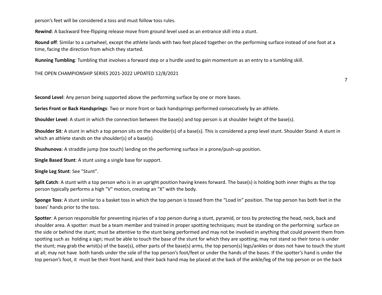person's feet will be considered a toss and must follow toss rules.

**Rewind**: A backward free-flipping release move from ground level used as an entrance skill into a stunt.

**Round off**: Similar to a cartwheel, except the athlete lands with two feet placed together on the performing surface instead of one foot at a time, facing the direction from which they started.

**Running Tumbling**: Tumbling that involves a forward step or a hurdle used to gain momentum as an entry to a tumbling skill.

THE OPEN CHAMPIONSHIP SERIES 2021-2022 UPDATED 12/8/2021

**Second Level**: Any person being supported above the performing surface by one or more bases.

**Series Front or Back Handsprings**: Two or more front or back handsprings performed consecutively by an athlete.

**Shoulder Level**: A stunt in which the connection between the base(s) and top person is at shoulder height of the base(s).

**Shoulder Sit**: A stunt in which a top person sits on the shoulder(s) of a base(s). This is considered a prep level stunt. Shoulder Stand: A stunt in which an athlete stands on the shoulder(s) of a base(s).

**Shushunova**: A straddle jump (toe touch) landing on the performing surface in a prone/push-up position.

**Single Based Stunt**: A stunt using a single base for support.

**Single Leg Stunt**: See "Stunt".

**Split Catch**: A stunt with a top person who is in an upright position having knees forward. The base(s) is holding both inner thighs as the top person typically performs a high "V" motion, creating an "X" with the body.

**Sponge Toss**: A stunt similar to a basket toss in which the top person is tossed from the "Load In" position. The top person has both feet in the bases' hands prior to the toss.

**Spotter**: A person responsible for preventing injuries of a top person during a stunt, pyramid, or toss by protecting the head, neck, back and shoulder area. A spotter: must be a team member and trained in proper spotting techniques; must be standing on the performing surface on the side or behind the stunt; must be attentive to the stunt being performed and may not be involved in anything that could prevent them from spotting such as holding a sign; must be able to touch the base of the stunt for which they are spotting; may not stand so their torso is under the stunt; may grab the wrist(s) of the base(s), other parts of the base(s) arms, the top person(s) legs/ankles or does not have to touch the stunt at all; may not have both hands under the sole of the top person's foot/feet or under the hands of the bases. If the spotter's hand is under the top person's foot, it must be their front hand, and their back hand may be placed at the back of the ankle/leg of the top person or on the back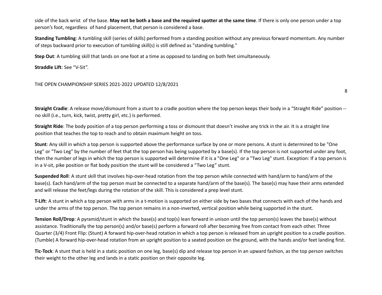side of the back wrist of the base. May not be both a base and the required spotter at the same time. If there is only one person under a top person's foot, regardless of hand placement, that person is considered a base.

**Standing Tumbling**: A tumbling skill (series of skills) performed from a standing position without any previous forward momentum. Any number of steps backward prior to execution of tumbling skill(s) is still defined as "standing tumbling."

**Step Out**: A tumbling skill that lands on one foot at a time as opposed to landing on both feet simultaneously.

**Straddle Lift**: See "V-Sit".

### THE OPEN CHAMPIONSHIP SERIES 2021-2022 UPDATED 12/8/2021

8

**Straight Cradle**: A release move/dismount from a stunt to a cradle position where the top person keeps their body in a "Straight Ride" position - no skill (i.e., turn, kick, twist, pretty girl, etc.) is performed.

**Straight Ride**: The body position of a top person performing a toss or dismount that doesn't involve any trick in the air. It is a straight line position that teaches the top to reach and to obtain maximum height on toss.

**Stunt**: Any skill in which a top person is supported above the performance surface by one or more persons. A stunt is determined to be "One Leg" or "Two Leg" by the number of feet that the top person has being supported by a base(s). If the top person is not supported under any foot, then the number of legs in which the top person is supported will determine if it is a "One Leg" or a "Two Leg" stunt. Exception: If a top person is in a V-sit, pike position or flat body position the stunt will be considered a "Two Leg" stunt.

**Suspended Roll**: A stunt skill that involves hip-over-head rotation from the top person while connected with hand/arm to hand/arm of the base(s). Each hand/arm of the top person must be connected to a separate hand/arm of the base(s). The base(s) may have their arms extended and will release the feet/legs during the rotation of the skill. This is considered a prep level stunt.

**T-Lift**: A stunt in which a top person with arms in a t-motion is supported on either side by two bases that connects with each of the hands and under the arms of the top person. The top person remains in a non-inverted, vertical position while being supported in the stunt.

**Tension Roll/Drop**: A pyramid/stunt in which the base(s) and top(s) lean forward in unison until the top person(s) leaves the base(s) without assistance. Traditionally the top person(s) and/or base(s) perform a forward roll after becoming free from contact from each other. Three Quarter (3/4) Front Flip: (Stunt) A forward hip-over-head rotation in which a top person is released from an upright position to a cradle position. (Tumble) A forward hip-over-head rotation from an upright position to a seated position on the ground, with the hands and/or feet landing first.

**Tic-Tock**: A stunt that is held in a static position on one leg, base(s) dip and release top person in an upward fashion, as the top person switches their weight to the other leg and lands in a static position on their opposite leg.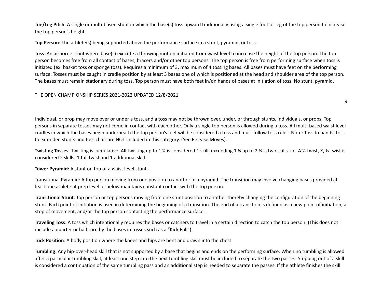**Toe/Leg Pitch**: A single or multi-based stunt in which the base(s) toss upward traditionally using a single foot or leg of the top person to increase the top person's height.

**Top Person**: The athlete(s) being supported above the performance surface in a stunt, pyramid, or toss.

**Toss**: An airborne stunt where base(s) execute a throwing motion initiated from waist level to increase the height of the top person. The top person becomes free from all contact of bases, bracers and/or other top persons. The top person is free from performing surface when toss is initiated (ex: basket toss or sponge toss). Requires a minimum of 3, maximum of 4 tossing bases. All bases must have feet on the performing surface. Tosses must be caught in cradle position by at least 3 bases one of which is positioned at the head and shoulder area of the top person. The bases must remain stationary during toss. Top person must have both feet in/on hands of bases at initiation of toss. No stunt, pyramid,

### THE OPEN CHAMPIONSHIP SERIES 2021-2022 UPDATED 12/8/2021

individual, or prop may move over or under a toss, and a toss may not be thrown over, under, or through stunts, individuals, or props. Top persons in separate tosses may not come in contact with each other. Only a single top person is allowed during a toss. All multi-based waist level cradles in which the bases begin underneath the top person's feet will be considered a toss and must follow toss rules. Note: Toss to hands, toss to extended stunts and toss chair are NOT included in this category. (See Release Moves).

**Twisting Tosses**: Twisting is cumulative. All twisting up to 1 ¼ is considered 1 skill, exceeding 1 ¼ up to 2 ¼ is two skills. i.e. A ½ twist, X, ½ twist is considered 2 skills: 1 full twist and 1 additional skill.

**Tower Pyramid**: A stunt on top of a waist level stunt.

Transitional Pyramid: A top person moving from one position to another in a pyramid. The transition may involve changing bases provided at least one athlete at prep level or below maintains constant contact with the top person.

**Transitional Stunt**: Top person or top persons moving from one stunt position to another thereby changing the configuration of the beginning stunt. Each point of initiation is used in determining the beginning of a transition. The end of a transition is defined as a new point of initiation, a stop of movement, and/or the top person contacting the performance surface.

**Traveling Toss**: A toss which intentionally requires the bases or catchers to travel in a certain direction to catch the top person. (This does not include a quarter or half turn by the bases in tosses such as a "Kick Full").

**Tuck Position**: A body position where the knees and hips are bent and drawn into the chest.

**Tumbling**: Any hip-over-head skill that is not supported by a base that begins and ends on the performing surface. When no tumbling is allowed after a particular tumbling skill, at least one step into the next tumbling skill must be included to separate the two passes. Stepping out of a skill is considered a continuation of the same tumbling pass and an additional step is needed to separate the passes. If the athlete finishes the skill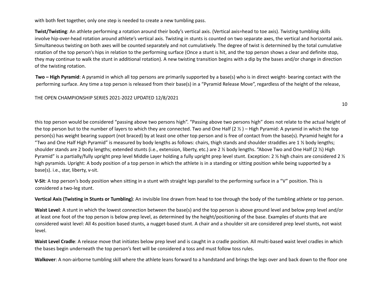with both feet together, only one step is needed to create a new tumbling pass.

**Twist/Twisting**: An athlete performing a rotation around their body's vertical axis. (Vertical axis=head to toe axis). Twisting tumbling skills involve hip-over-head rotation around athlete's vertical axis. Twisting in stunts is counted on two separate axes, the vertical and horizontal axis. Simultaneous twisting on both axes will be counted separately and not cumulatively. The degree of twist is determined by the total cumulative rotation of the top person's hips in relation to the performing surface (Once a stunt is hit, and the top person shows a clear and definite stop, they may continue to walk the stunt in additional rotation). A new twisting transition begins with a dip by the bases and/or change in direction of the twisting rotation.

**Two – High Pyramid**: A pyramid in which all top persons are primarily supported by a base(s) who is in direct weight- bearing contact with the performing surface. Any time a top person is released from their base(s) in a "Pyramid Release Move", regardless of the height of the release,

### THE OPEN CHAMPIONSHIP SERIES 2021-2022 UPDATED 12/8/2021

this top person would be considered "passing above two persons high". "Passing above two persons high" does not relate to the actual height of the top person but to the number of layers to which they are connected. Two and One Half  $(2 \frac{1}{2})$  – High Pyramid: A pyramid in which the top person(s) has weight bearing support (not braced) by at least one other top person and is free of contact from the base(s). Pyramid height for a "Two and One Half High Pyramid" is measured by body lengths as follows: chairs, thigh stands and shoulder straddles are 1  $\frac{1}{2}$  body lengths; shoulder stands are 2 body lengths; extended stunts (i.e., extension, liberty, etc.) are 2 ½ body lengths. "Above Two and One Half (2 ½) High Pyramid" is a partially/fully upright prep level Middle Layer holding a fully upright prep level stunt. Exception: 2 ½ high chairs are considered 2 ½ high pyramids. Upright: A body position of a top person in which the athlete is in a standing or sitting position while being supported by a base(s). i.e., star, liberty, v-sit.

**V-Sit**: A top person's body position when sitting in a stunt with straight legs parallel to the performing surface in a "V" position. This is considered a two-leg stunt.

**Vertical Axis (Twisting in Stunts or Tumbling)**: An invisible line drawn from head to toe through the body of the tumbling athlete or top person.

**Waist Level**: A stunt in which the lowest connection between the base(s) and the top person is above ground level and below prep level and/or at least one foot of the top person is below prep level, as determined by the height/positioning of the base. Examples of stunts that are considered waist level: All 4s position based stunts, a nugget-based stunt. A chair and a shoulder sit are considered prep level stunts, not waist level.

**Waist Level Cradle**: A release move that initiates below prep level and is caught in a cradle position. All multi-based waist level cradles in which the bases begin underneath the top person's feet will be considered a toss and must follow toss rules.

**Walkover**: A non-airborne tumbling skill where the athlete leans forward to a handstand and brings the legs over and back down to the floor one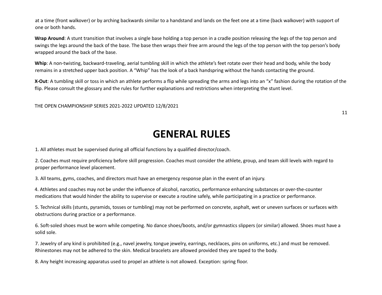at a time (front walkover) or by arching backwards similar to a handstand and lands on the feet one at a time (back walkover) with support of one or both hands.

**Wrap Around**: A stunt transition that involves a single base holding a top person in a cradle position releasing the legs of the top person and swings the legs around the back of the base. The base then wraps their free arm around the legs of the top person with the top person's body wrapped around the back of the base.

**Whip**: A non-twisting, backward-traveling, aerial tumbling skill in which the athlete's feet rotate over their head and body, while the body remains in a stretched upper back position. A "Whip" has the look of a back handspring without the hands contacting the ground.

**X-Out**: A tumbling skill or toss in which an athlete performs a flip while spreading the arms and legs into an "x" fashion during the rotation of the flip. Please consult the glossary and the rules for further explanations and restrictions when interpreting the stunt level.

THE OPEN CHAMPIONSHIP SERIES 2021-2022 UPDATED 12/8/2021

11

## **GENERAL RULES**

1. All athletes must be supervised during all official functions by a qualified director/coach.

2. Coaches must require proficiency before skill progression. Coaches must consider the athlete, group, and team skill levels with regard to proper performance level placement.

3. All teams, gyms, coaches, and directors must have an emergency response plan in the event of an injury.

4. Athletes and coaches may not be under the influence of alcohol, narcotics, performance enhancing substances or over-the-counter medications that would hinder the ability to supervise or execute a routine safely, while participating in a practice or performance.

5. Technical skills (stunts, pyramids, tosses or tumbling) may not be performed on concrete, asphalt, wet or uneven surfaces or surfaces with obstructions during practice or a performance.

6. Soft-soled shoes must be worn while competing. No dance shoes/boots, and/or gymnastics slippers (or similar) allowed. Shoes must have a solid sole.

7. Jewelry of any kind is prohibited (e.g., navel jewelry, tongue jewelry, earrings, necklaces, pins on uniforms, etc.) and must be removed. Rhinestones may not be adhered to the skin. Medical bracelets are allowed provided they are taped to the body.

8. Any height increasing apparatus used to propel an athlete is not allowed. Exception: spring floor.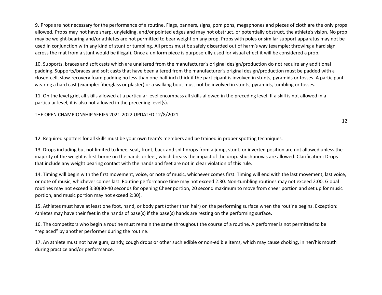9. Props are not necessary for the performance of a routine. Flags, banners, signs, pom pons, megaphones and pieces of cloth are the only props allowed. Props may not have sharp, unyielding, and/or pointed edges and may not obstruct, or potentially obstruct, the athlete's vision. No prop may be weight-bearing and/or athletes are not permitted to bear weight on any prop. Props with poles or similar support apparatus may not be used in conjunction with any kind of stunt or tumbling. All props must be safely discarded out of harm's way (example: throwing a hard sign across the mat from a stunt would be illegal). Once a uniform piece is purposefully used for visual effect it will be considered a prop.

10. Supports, braces and soft casts which are unaltered from the manufacturer's original design/production do not require any additional padding. Supports/braces and soft casts that have been altered from the manufacturer's original design/production must be padded with a closed-cell, slow-recovery foam padding no less than one-half inch thick if the participant is involved in stunts, pyramids or tosses. A participant wearing a hard cast (example: fiberglass or plaster) or a walking boot must not be involved in stunts, pyramids, tumbling or tosses.

11. On the level grid, all skills allowed at a particular level encompass all skills allowed in the preceding level. If a skill is not allowed in a particular level, it is also not allowed in the preceding level(s).

#### THE OPEN CHAMPIONSHIP SERIES 2021-2022 UPDATED 12/8/2021

12

12. Required spotters for all skills must be your own team's members and be trained in proper spotting techniques.

13. Drops including but not limited to knee, seat, front, back and split drops from a jump, stunt, or inverted position are not allowed unless the majority of the weight is first borne on the hands or feet, which breaks the impact of the drop. Shushunovas are allowed. Clarification: Drops that include any weight bearing contact with the hands and feet are not in clear violation of this rule.

14. Timing will begin with the first movement, voice, or note of music, whichever comes first. Timing will end with the last movement, last voice, or note of music, whichever comes last. Routine performance time may not exceed 2:30. Non-tumbling routines may not exceed 2:00. Global routines may not exceed 3:30(30-40 seconds for opening Cheer portion, 20 second maximum to move from cheer portion and set up for music portion, and music portion may not exceed 2:30).

15. Athletes must have at least one foot, hand, or body part (other than hair) on the performing surface when the routine begins. Exception: Athletes may have their feet in the hands of base(s) if the base(s) hands are resting on the performing surface.

16. The competitors who begin a routine must remain the same throughout the course of a routine. A performer is not permitted to be "replaced" by another performer during the routine.

17. An athlete must not have gum, candy, cough drops or other such edible or non-edible items, which may cause choking, in her/his mouth during practice and/or performance.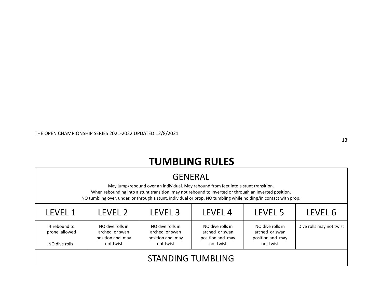# **TUMBLING RULES**

| <b>GENERAL</b><br>May jump/rebound over an individual. May rebound from feet into a stunt transition.<br>When rebounding into a stunt transition, may not rebound to inverted or through an inverted position.<br>NO tumbling over, under, or through a stunt, individual or prop. NO tumbling while holding/in contact with prop.                                                 |                                                                |  |  |  |  |  |
|------------------------------------------------------------------------------------------------------------------------------------------------------------------------------------------------------------------------------------------------------------------------------------------------------------------------------------------------------------------------------------|----------------------------------------------------------------|--|--|--|--|--|
| LEVEL 1                                                                                                                                                                                                                                                                                                                                                                            | LEVEL 2<br>LEVEL <sub>3</sub><br>LEVEL 4<br>LEVEL 5<br>LEVEL 6 |  |  |  |  |  |
| NO dive rolls in<br>NO dive rolls in<br>$\frac{1}{2}$ rebound to<br>NO dive rolls in<br>NO dive rolls in<br>Dive rolls may not twist<br>prone allowed<br>arched or swan<br>arched or swan<br>arched or swan<br>arched or swan<br>position and may<br>position and may<br>position and may<br>position and may<br>not twist<br>not twist<br>not twist<br>not twist<br>NO dive rolls |                                                                |  |  |  |  |  |
| <b>STANDING TUMBLING</b>                                                                                                                                                                                                                                                                                                                                                           |                                                                |  |  |  |  |  |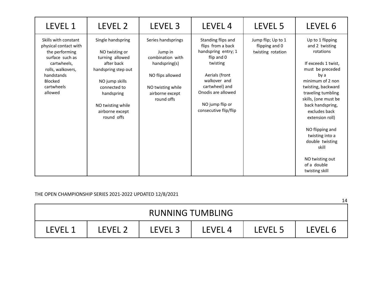| <b>LEVEL 1</b>                                                                                                                                                                  | LEVEL 2                                                                                                                                                                                           | LEVEL <sub>3</sub>                                                                                                                           | LEVEL <sub>4</sub>                                                                                                                                                                                             | LEVEL 5                                                   | LEVEL 6                                                                                                                                                                                                                                                                                                                                                                  |
|---------------------------------------------------------------------------------------------------------------------------------------------------------------------------------|---------------------------------------------------------------------------------------------------------------------------------------------------------------------------------------------------|----------------------------------------------------------------------------------------------------------------------------------------------|----------------------------------------------------------------------------------------------------------------------------------------------------------------------------------------------------------------|-----------------------------------------------------------|--------------------------------------------------------------------------------------------------------------------------------------------------------------------------------------------------------------------------------------------------------------------------------------------------------------------------------------------------------------------------|
| Skills with constant<br>physical contact with<br>the performing<br>surface such as<br>cartwheels,<br>rolls, walkovers,<br>handstands<br><b>Blocked</b><br>cartwheels<br>allowed | Single handspring<br>NO twisting or<br>turning allowed<br>after back<br>handspring step out<br>NO jump skills<br>connected to<br>handspring<br>NO twisting while<br>airborne except<br>round offs | Series handsprings<br>Jump in<br>combination with<br>handspring(s)<br>NO flips allowed<br>NO twisting while<br>airborne except<br>round offs | Standing flips and<br>flips from a back<br>handspring entry; 1<br>flip and 0<br>twisting<br>Aerials (front<br>walkover and<br>cartwheel) and<br>Onodis are allowed<br>NO jump flip or<br>consecutive flip/flip | Jump flip; Up to 1<br>flipping and 0<br>twisting rotation | Up to 1 flipping<br>and 2 twisting<br>rotations<br>If exceeds 1 twist,<br>must be preceded<br>by a<br>minimum of 2 non<br>twisting, backward<br>traveling tumbling<br>skills, (one must be<br>back handspring,<br>excludes back<br>extension roll)<br>NO flipping and<br>twisting into a<br>double twisting<br>skill<br>NO twisting out<br>of a double<br>twisting skill |

|                         |         |                    |         |         | 14      |  |
|-------------------------|---------|--------------------|---------|---------|---------|--|
| <b>RUNNING TUMBLING</b> |         |                    |         |         |         |  |
| LEVEL <sup>1</sup>      | LFVFL 2 | LEVEL <sub>3</sub> | LEVEL 4 | LEVEL 5 | LEVEL 6 |  |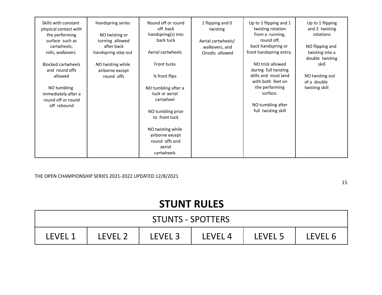| Skills with constant<br>physical contact with<br>the performing<br>surface such as<br>cartwheels, | Handspring series<br>NO twisting or<br>turning allowed<br>after back | Round off or round<br>off back<br>handspring(s) into<br>back tuck | 1 flipping and 0<br>twisting<br>Aerial cartwheels/<br>walkovers, and | Up to 1 flipping and 1<br>twisting rotation<br>from a running,<br>round off,<br>back handspring or | Up to 1 flipping<br>and 2 twisting<br>rotations<br>NO flipping and |
|---------------------------------------------------------------------------------------------------|----------------------------------------------------------------------|-------------------------------------------------------------------|----------------------------------------------------------------------|----------------------------------------------------------------------------------------------------|--------------------------------------------------------------------|
| rolls, walkovers                                                                                  | handspring step out                                                  | Aerial cartwheels                                                 | Onodis allowed                                                       | front handspring entry.                                                                            | twisting into a<br>double twisting                                 |
| <b>Blocked cartwheels</b><br>and round offs                                                       | NO twisting while<br>airborne except                                 | Front tucks                                                       |                                                                      | NO trick allowed<br>during full twisting                                                           | skill                                                              |
| allowed                                                                                           | round offs                                                           | % front flips                                                     |                                                                      | skills and must land<br>with both feet on                                                          | NO twisting out<br>of a double                                     |
| NO tumbling                                                                                       |                                                                      | NO tumbling after a                                               |                                                                      | the performing                                                                                     | twisting skill                                                     |
| immediately after a<br>round off or round                                                         |                                                                      | tuck or aerial<br>cartwheel                                       |                                                                      | surface.                                                                                           |                                                                    |
| off rebound                                                                                       |                                                                      |                                                                   |                                                                      | NO tumbling after                                                                                  |                                                                    |
|                                                                                                   |                                                                      | NO tumbling prior<br>to front tuck                                |                                                                      | full twisting skill                                                                                |                                                                    |
|                                                                                                   |                                                                      | NO twisting while<br>airborne except                              |                                                                      |                                                                                                    |                                                                    |
|                                                                                                   |                                                                      | round offs and<br>aerial<br>cartwheels                            |                                                                      |                                                                                                    |                                                                    |
|                                                                                                   |                                                                      |                                                                   |                                                                      |                                                                                                    |                                                                    |

15

# **STUNT RULES**

| <b>STUNTS - SPOTTERS</b> |         |         |         |         |                |  |  |
|--------------------------|---------|---------|---------|---------|----------------|--|--|
| LEVEL 1                  | LEVEL 2 | LEVEL 3 | LEVEL 4 | LEVEL 5 | <b>IFVEL 6</b> |  |  |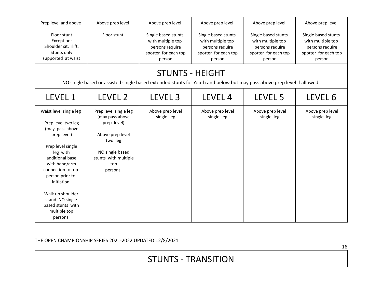### STUNTS - TRANSITION

| Floor stunt<br>Exception:<br>Shoulder sit, Tlift,<br>Stunts only<br>supported at waist                                                                                                                                                                                                           | Floor stunt                                                                                                                                         | Single based stunts<br>with multiple top<br>persons require<br>spotter for each top<br>person | Single based stunts<br>with multiple top<br>persons require<br>spotter for each top<br>person | Single based stunts<br>with multiple top<br>persons require<br>spotter for each top<br>person | Single based stunts<br>with multiple top<br>persons require<br>spotter for each top<br>person |  |  |  |  |
|--------------------------------------------------------------------------------------------------------------------------------------------------------------------------------------------------------------------------------------------------------------------------------------------------|-----------------------------------------------------------------------------------------------------------------------------------------------------|-----------------------------------------------------------------------------------------------|-----------------------------------------------------------------------------------------------|-----------------------------------------------------------------------------------------------|-----------------------------------------------------------------------------------------------|--|--|--|--|
|                                                                                                                                                                                                                                                                                                  | <b>STUNTS - HEIGHT</b><br>NO single based or assisted single based extended stunts for Youth and below but may pass above prep level if allowed.    |                                                                                               |                                                                                               |                                                                                               |                                                                                               |  |  |  |  |
| <b>LEVEL 1</b>                                                                                                                                                                                                                                                                                   | LEVEL 2                                                                                                                                             | LEVEL <sub>3</sub>                                                                            | LEVEL 4                                                                                       | LEVEL 5                                                                                       | LEVEL 6                                                                                       |  |  |  |  |
| Waist level single leg<br>Prep level two leg<br>(may pass above<br>prep level)<br>Prep level single<br>leg with<br>additional base<br>with hand/arm<br>connection to top<br>person prior to<br>initiation<br>Walk up shoulder<br>stand NO single<br>based stunts with<br>multiple top<br>persons | Prep level single leg<br>(may pass above<br>prep level)<br>Above prep level<br>two leg<br>NO single based<br>stunts with multiple<br>top<br>persons | Above prep level<br>single leg                                                                | Above prep level<br>single leg                                                                | Above prep level<br>single leg                                                                | Above prep level<br>single leg                                                                |  |  |  |  |

Above prep level

Above prep level

Above prep level

Above prep level

Prep level and above

Above prep level

THE OPEN CHAMPIONSHIP SERIES 2021-2022 UPDATED 12/8/2021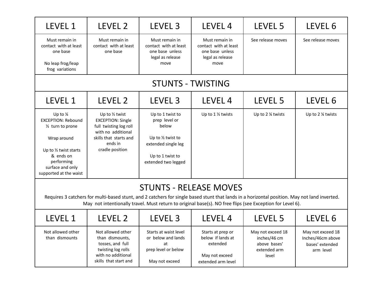| LEVEL 1                                                                                                                                                                                             | LEVEL 2                                                                                                                                                       | LEVEL 3                                                                                                                                                                                                                                                   | LEVEL 4                                                                                    | LEVEL 5                                                                    | LEVEL 6                                                                |
|-----------------------------------------------------------------------------------------------------------------------------------------------------------------------------------------------------|---------------------------------------------------------------------------------------------------------------------------------------------------------------|-----------------------------------------------------------------------------------------------------------------------------------------------------------------------------------------------------------------------------------------------------------|--------------------------------------------------------------------------------------------|----------------------------------------------------------------------------|------------------------------------------------------------------------|
| Must remain in<br>contact with at least<br>one base<br>No leap frog/leap<br>frog variations                                                                                                         | Must remain in<br>contact with at least<br>one base                                                                                                           | Must remain in<br>contact with at least<br>one base unless<br>legal as release<br>move                                                                                                                                                                    | Must remain in<br>contact with at least<br>one base unless<br>legal as release<br>move     | See release moves                                                          | See release moves                                                      |
|                                                                                                                                                                                                     |                                                                                                                                                               |                                                                                                                                                                                                                                                           | <b>STUNTS - TWISTING</b>                                                                   |                                                                            |                                                                        |
| LEVEL 1                                                                                                                                                                                             | LEVEL 2                                                                                                                                                       | LEVEL <sub>3</sub>                                                                                                                                                                                                                                        | LEVEL 4                                                                                    | LEVEL 5                                                                    | LEVEL 6                                                                |
| Up to $\frac{1}{4}$<br><b>EXCEPTION: Rebound</b><br>1/ <sub>2</sub> turn to prone<br>Wrap around<br>Up to 1/2 twist starts<br>& ends on<br>performing<br>surface and only<br>supported at the waist | Up to $\frac{1}{2}$ twist<br><b>EXCEPTION: Single</b><br>full twisting log roll<br>with no additional<br>skills that starts and<br>ends in<br>cradle position | Up to 1 twist to<br>prep level or<br>below<br>Up to 1/2 twist to<br>extended single leg<br>Up to 1 twist to<br>extended two legged                                                                                                                        | Up to 1 1/2 twists                                                                         | Up to 2 % twists                                                           | Up to 2 ¼ twists                                                       |
|                                                                                                                                                                                                     |                                                                                                                                                               | Requires 3 catchers for multi-based stunt, and 2 catchers for single based stunt that lands in a horizontal position. May not land inverted.<br>May not intentionally travel. Must return to original base(s). NO free flips (see Exception for Level 6). | <b>STUNTS - RELEASE MOVES</b>                                                              |                                                                            |                                                                        |
| LEVEL 1                                                                                                                                                                                             | LEVEL 2                                                                                                                                                       | LEVEL <sub>3</sub>                                                                                                                                                                                                                                        | LEVEL <sub>4</sub>                                                                         | LEVEL <sub>5</sub>                                                         | LEVEL 6                                                                |
| Not allowed other<br>than dismounts                                                                                                                                                                 | Not allowed other<br>than dismounts,<br>tosses, and full<br>twisting log rolls<br>with no additional<br>skills that start and                                 | Starts at waist level<br>or below and lands<br>at<br>prep level or below<br>May not exceed                                                                                                                                                                | Starts at prep or<br>below if lands at<br>extended<br>May not exceed<br>extended arm level | May not exceed 18<br>inches/46 cm<br>above bases'<br>extended arm<br>level | May not exceed 18<br>Inches/46cm above<br>bases' extended<br>arm level |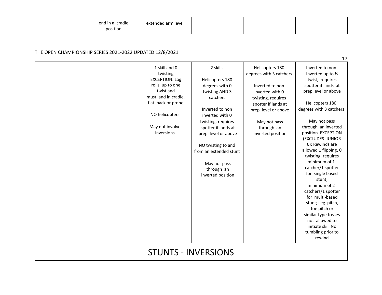| end in a cradle<br>position | extended arm level |  |  |  |
|-----------------------------|--------------------|--|--|--|
|-----------------------------|--------------------|--|--|--|

|                                      |                                                                                                                                                                                     |                                                                                                                                                                                                                                                                                          |                                                                                                                                                                                                         | 17                                                                                                                                                                                                                                                                                                                                                                                                                                                                                                                                                          |  |  |  |
|--------------------------------------|-------------------------------------------------------------------------------------------------------------------------------------------------------------------------------------|------------------------------------------------------------------------------------------------------------------------------------------------------------------------------------------------------------------------------------------------------------------------------------------|---------------------------------------------------------------------------------------------------------------------------------------------------------------------------------------------------------|-------------------------------------------------------------------------------------------------------------------------------------------------------------------------------------------------------------------------------------------------------------------------------------------------------------------------------------------------------------------------------------------------------------------------------------------------------------------------------------------------------------------------------------------------------------|--|--|--|
|                                      | 1 skill and 0<br>twisting<br><b>EXCEPTION: Log</b><br>rolls up to one<br>twist and<br>must land in cradle,<br>flat back or prone<br>NO helicopters<br>May not involve<br>inversions | 2 skills<br>Helicopters 180<br>degrees with 0<br>twisting AND 3<br>catchers<br>Inverted to non<br>inverted with 0<br>twisting, requires<br>spotter if lands at<br>prep level or above<br>NO twisting to and<br>from an extended stunt<br>May not pass<br>through an<br>inverted position | Helicopters 180<br>degrees with 3 catchers<br>Inverted to non<br>inverted with 0<br>twisting, requires<br>spotter if lands at<br>prep level or above<br>May not pass<br>through an<br>inverted position | Inverted to non<br>inverted up to 1/2<br>twist, requires<br>spotter if lands at<br>prep level or above<br>Helicopters 180<br>degrees with 3 catchers<br>May not pass<br>through an inverted<br>position EXCEPTION<br>(EXCLUDES JUNIOR<br>6): Rewinds are<br>allowed 1 flipping, 0<br>twisting, requires<br>minimum of 1<br>catcher/1 spotter<br>for single based<br>stunt,<br>minimum of 2<br>catchers/1 spotter<br>for multi-based<br>stunt; Leg pitch,<br>toe pitch or<br>similar type tosses<br>not allowed to<br>initiate skill No<br>tumbling prior to |  |  |  |
| rewind<br><b>STUNTS - INVERSIONS</b> |                                                                                                                                                                                     |                                                                                                                                                                                                                                                                                          |                                                                                                                                                                                                         |                                                                                                                                                                                                                                                                                                                                                                                                                                                                                                                                                             |  |  |  |
|                                      |                                                                                                                                                                                     |                                                                                                                                                                                                                                                                                          |                                                                                                                                                                                                         |                                                                                                                                                                                                                                                                                                                                                                                                                                                                                                                                                             |  |  |  |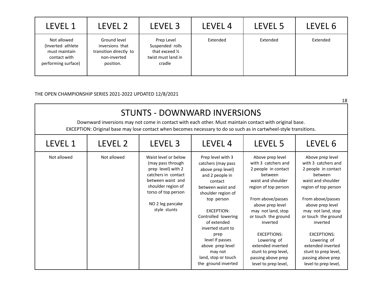| LEVEL 1                                                                                   | LEVEL 2                                                                                | LEVEL 3                                                                          | LEVEL 4  | LEVEL 5  | LEVEL 6  |
|-------------------------------------------------------------------------------------------|----------------------------------------------------------------------------------------|----------------------------------------------------------------------------------|----------|----------|----------|
| Not allowed<br>(Inverted athlete)<br>must maintain<br>contact with<br>performing surface) | Ground level<br>inversions that<br>transition directly to<br>non-inverted<br>position. | Prep Level<br>Suspended rolls<br>that exceed 1/2<br>twist must land in<br>cradle | Extended | Extended | Extended |

| <b>STUNTS - DOWNWARD INVERSIONS</b><br>Downward inversions may not come in contact with each other. Must maintain contact with original base.<br>EXCEPTION: Original base may lose contact when becomes necessary to do so such as in cartwheel-style transitions. |             |                                                                                                                                                                                              |                                                                                                                                                                                                                                                                                                                                             |                                                                                                                                                                                                                                                                                                                                                           |                                                                                                                                                                                                                                                                                                                                                           |  |  |
|--------------------------------------------------------------------------------------------------------------------------------------------------------------------------------------------------------------------------------------------------------------------|-------------|----------------------------------------------------------------------------------------------------------------------------------------------------------------------------------------------|---------------------------------------------------------------------------------------------------------------------------------------------------------------------------------------------------------------------------------------------------------------------------------------------------------------------------------------------|-----------------------------------------------------------------------------------------------------------------------------------------------------------------------------------------------------------------------------------------------------------------------------------------------------------------------------------------------------------|-----------------------------------------------------------------------------------------------------------------------------------------------------------------------------------------------------------------------------------------------------------------------------------------------------------------------------------------------------------|--|--|
| LEVEL 1                                                                                                                                                                                                                                                            | LEVEL 2     | LEVEL <sub>3</sub>                                                                                                                                                                           | LEVEL 4                                                                                                                                                                                                                                                                                                                                     | LEVEL 5                                                                                                                                                                                                                                                                                                                                                   | LEVEL 6                                                                                                                                                                                                                                                                                                                                                   |  |  |
| Not allowed                                                                                                                                                                                                                                                        | Not allowed | Waist level or below<br>(may pass through<br>prep level) with 2<br>catchers in contact<br>between waist and<br>shoulder region of<br>torso of top person<br>NO 2 leg pancake<br>style stunts | Prep level with 3<br>catchers (may pass<br>above prep level)<br>and 2 people in<br>contact<br>between waist and<br>shoulder region of<br>top person<br><b>EXCEPTION:</b><br>Controlled lowering<br>of extended<br>inverted stunt to<br>prep<br>level If passes<br>above prep level<br>may not<br>land, stop or touch<br>the ground inverted | Above prep level<br>with 3 catchers and<br>2 people in contact<br>between<br>waist and shoulder<br>region of top person<br>From above/passes<br>above prep level<br>may not land, stop<br>or touch the ground<br>inverted<br><b>EXCEPTIONS:</b><br>Lowering of<br>extended inverted<br>stunt to prep level,<br>passing above prep<br>level to prep level, | Above prep level<br>with 3 catchers and<br>2 people in contact<br>between<br>waist and shoulder<br>region of top person<br>From above/passes<br>above prep level<br>may not land, stop<br>or touch the ground<br>inverted<br><b>EXCEPTIONS:</b><br>Lowering of<br>extended inverted<br>stunt to prep level,<br>passing above prep<br>level to prep level, |  |  |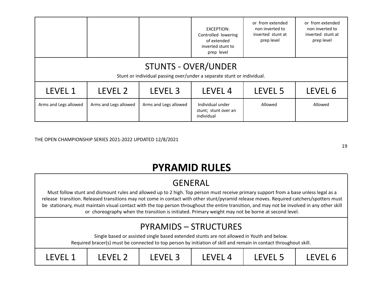|                                                                                                      |                       |                       | EXCEPTION:<br>Controlled lowering<br>of extended<br>inverted stunt to<br>prep level | or from extended<br>non inverted to<br>inverted stunt at<br>prep level | or from extended<br>non inverted to<br>inverted stunt at<br>prep level |  |  |  |
|------------------------------------------------------------------------------------------------------|-----------------------|-----------------------|-------------------------------------------------------------------------------------|------------------------------------------------------------------------|------------------------------------------------------------------------|--|--|--|
| <b>STUNTS - OVER/UNDER</b><br>Stunt or individual passing over/under a separate stunt or individual. |                       |                       |                                                                                     |                                                                        |                                                                        |  |  |  |
| LEVEL 1                                                                                              | LEVEL 2               | LEVEL <sub>3</sub>    | LEVEL <sub>4</sub>                                                                  | LEVEL 5                                                                | LEVEL 6                                                                |  |  |  |
| Arms and Legs allowed                                                                                | Arms and Legs allowed | Arms and Legs allowed | Individual under<br>stunt; stunt over an<br>individual                              | Allowed                                                                | Allowed                                                                |  |  |  |

19

# **PYRAMID RULES**

### GENERAL

Must follow stunt and dismount rules and allowed up to 2 high. Top person must receive primary support from a base unless legal as a release transition. Released transitions may not come in contact with other stunt/pyramid release moves. Required catchers/spotters must be stationary, must maintain visual contact with the top person throughout the entire transition, and may not be involved in any other skill or choreography when the transition is initiated. Primary weight may not be borne at second level.

### PYRAMIDS – STRUCTURES

Single based or assisted single based extended stunts are not allowed in Youth and below.

Required bracer(s) must be connected to top person by initiation of skill and remain in contact throughout skill.

| <b>FVFI</b> |  | 7E L<br>$\sim$ | ▃ | <b>FVFI</b><br>- - |  |
|-------------|--|----------------|---|--------------------|--|
|-------------|--|----------------|---|--------------------|--|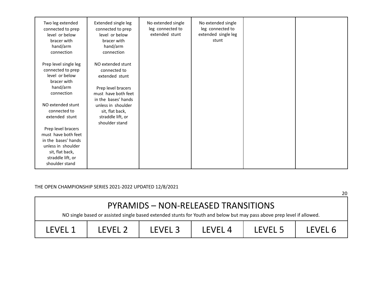| Two leg extended<br>connected to prep<br>level or below<br>bracer with<br>hand/arm<br>connection                                                 | Extended single leg<br>connected to prep<br>level or below<br>bracer with<br>hand/arm<br>connection | No extended single<br>leg connected to<br>extended stunt | No extended single<br>leg connected to<br>extended single leg<br>stunt |  |
|--------------------------------------------------------------------------------------------------------------------------------------------------|-----------------------------------------------------------------------------------------------------|----------------------------------------------------------|------------------------------------------------------------------------|--|
| Prep level single leg<br>connected to prep<br>level or below<br>bracer with<br>hand/arm<br>connection                                            | NO extended stunt<br>connected to<br>extended stunt<br>Prep level bracers<br>must have both feet    |                                                          |                                                                        |  |
| NO extended stunt<br>connected to<br>extended stunt                                                                                              | in the bases' hands<br>unless in shoulder<br>sit, flat back,<br>straddle lift, or<br>shoulder stand |                                                          |                                                                        |  |
| Prep level bracers<br>must have both feet<br>in the bases' hands<br>unless in shoulder<br>sit, flat back,<br>straddle lift, or<br>shoulder stand |                                                                                                     |                                                          |                                                                        |  |

|         | NO single based or assisted single based extended stunts for Youth and below but may pass above prep level if allowed. |         | PYRAMIDS - NON-RELEASED TRANSITIONS |         |         |
|---------|------------------------------------------------------------------------------------------------------------------------|---------|-------------------------------------|---------|---------|
| LEVEL 1 | LEVEL 2                                                                                                                | LEVEL 3 | LEVEL <sub>4</sub>                  | LEVEL 5 | LEVEL 6 |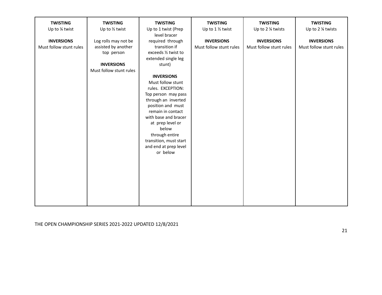| <b>TWISTING</b>         | <b>TWISTING</b>         | <b>TWISTING</b>                   | <b>TWISTING</b>         | <b>TWISTING</b>         | <b>TWISTING</b>         |
|-------------------------|-------------------------|-----------------------------------|-------------------------|-------------------------|-------------------------|
| Up to 1/4 twist         | Up to 1/2 twist         | Up to 1 twist (Prep               | Up to 1 1/2 twist       | Up to 2 % twists        | Up to 2 % twists        |
|                         |                         | level bracer                      |                         |                         |                         |
| <b>INVERSIONS</b>       | Log rolls may not be    | required through                  | <b>INVERSIONS</b>       | <b>INVERSIONS</b>       | <b>INVERSIONS</b>       |
| Must follow stunt rules | assisted by another     | transition if                     | Must follow stunt rules | Must follow stunt rules | Must follow stunt rules |
|                         | top person              | exceeds 1/2 twist to              |                         |                         |                         |
|                         |                         | extended single leg               |                         |                         |                         |
|                         | <b>INVERSIONS</b>       | stunt)                            |                         |                         |                         |
|                         | Must follow stunt rules |                                   |                         |                         |                         |
|                         |                         | <b>INVERSIONS</b>                 |                         |                         |                         |
|                         |                         | Must follow stunt                 |                         |                         |                         |
|                         |                         | rules. EXCEPTION:                 |                         |                         |                         |
|                         |                         | Top person may pass               |                         |                         |                         |
|                         |                         | through an inverted               |                         |                         |                         |
|                         |                         | position and must                 |                         |                         |                         |
|                         |                         | remain in contact                 |                         |                         |                         |
|                         |                         | with base and bracer              |                         |                         |                         |
|                         |                         | at prep level or                  |                         |                         |                         |
|                         |                         | below                             |                         |                         |                         |
|                         |                         | through entire                    |                         |                         |                         |
|                         |                         | transition, must start            |                         |                         |                         |
|                         |                         | and end at prep level<br>or below |                         |                         |                         |
|                         |                         |                                   |                         |                         |                         |
|                         |                         |                                   |                         |                         |                         |
|                         |                         |                                   |                         |                         |                         |
|                         |                         |                                   |                         |                         |                         |
|                         |                         |                                   |                         |                         |                         |
|                         |                         |                                   |                         |                         |                         |
|                         |                         |                                   |                         |                         |                         |
|                         |                         |                                   |                         |                         |                         |
|                         |                         |                                   |                         |                         |                         |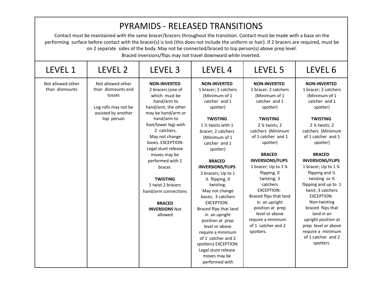|                                     |                                                                                                                | <b>PYRAMIDS - RELEASED TRANSITIONS</b><br>Contact must be maintained with the same bracer/bracers throughout the transition. Contact must be made with a base on the<br>performing surface before contact with the bracer(s) is lost (this does not include the uniform or hair). If 2 bracers are required, must be<br>on 2 separate sides of the body. May not be connected/braced to top person(s) above prep level.<br>Braced inversions/flips may not travel downward while inverted. |                                                                                                                                                                                                                                                                                                                                                                                                                                                                                                                                                                                              |                                                                                                                                                                                                                                                                                                                                                                                                                                                                   |                                                                                                                                                                                                                                                                                                                                                                                                                                                                                                                             |
|-------------------------------------|----------------------------------------------------------------------------------------------------------------|--------------------------------------------------------------------------------------------------------------------------------------------------------------------------------------------------------------------------------------------------------------------------------------------------------------------------------------------------------------------------------------------------------------------------------------------------------------------------------------------|----------------------------------------------------------------------------------------------------------------------------------------------------------------------------------------------------------------------------------------------------------------------------------------------------------------------------------------------------------------------------------------------------------------------------------------------------------------------------------------------------------------------------------------------------------------------------------------------|-------------------------------------------------------------------------------------------------------------------------------------------------------------------------------------------------------------------------------------------------------------------------------------------------------------------------------------------------------------------------------------------------------------------------------------------------------------------|-----------------------------------------------------------------------------------------------------------------------------------------------------------------------------------------------------------------------------------------------------------------------------------------------------------------------------------------------------------------------------------------------------------------------------------------------------------------------------------------------------------------------------|
| <b>LEVEL 1</b>                      | LEVEL 2                                                                                                        | LEVEL <sub>3</sub>                                                                                                                                                                                                                                                                                                                                                                                                                                                                         | LEVEL 4                                                                                                                                                                                                                                                                                                                                                                                                                                                                                                                                                                                      | LEVEL 5                                                                                                                                                                                                                                                                                                                                                                                                                                                           | LEVEL 6                                                                                                                                                                                                                                                                                                                                                                                                                                                                                                                     |
| Not allowed other<br>than dismounts | Not allowed other<br>than dismounts and<br>tosses<br>Log rolls may not be<br>assisted by another<br>top person | <b>NON-INVERTED</b><br>2 bracers (one of<br>which must be<br>hand/arm to<br>hand/arm, the other<br>may be hand/arm or<br>hand/arm to<br>foot/lower leg) with<br>2 catchers.<br>May not change<br>bases. EXCEPTION:<br>Legal stunt release<br>moves may be<br>performed with 1<br>bracer.<br><b>TWISTING</b><br>1 twist 2 bracers<br>hand/arm connections<br><b>BRACED</b><br><b>INVERSIONS Not</b><br>allowed                                                                              | <b>NON-INVERTED</b><br>1 bracer; 2 catchers<br>(Minimum of 1<br>catcher and 1<br>spotter)<br><b>TWISTING</b><br>1 $\frac{1}{2}$ twists with 1<br>bracer; 2 catchers<br>(Minimum of 1<br>catcher and 1<br>spotter)<br><b>BRACED</b><br><b>INVERSIONS/FLIPS</b><br>2 bracers; Up to 1<br>1⁄4 flipping, 0<br>twisting;<br>May not change<br>bases; 3 catchers<br><b>EXCEPTION:</b><br>Braced flips that land<br>in an upright<br>position at prep<br>level or above<br>require a minimum<br>of 1 catcher and 2<br>spotters) EXCEPTION:<br>Legal stunt release<br>moves may be<br>performed with | <b>NON-INVERTED</b><br>1 bracer; 2 catchers<br>(Minimum of 1<br>catcher and 1<br>spotter)<br><b>TWISTING</b><br>2 % twists; 2<br>catchers (Minimum<br>of 1 catcher and 1<br>spotter)<br><b>BRACED</b><br><b>INVERSIONS/FLIPS</b><br>1 bracer; Up to 1 1/4<br>flipping, 0<br>twisting; 3<br>catchers<br><b>EXCEPTION:</b><br>Braced flips that land<br>in an upright<br>position at prep<br>level or above<br>require a minimum<br>of 1 catcher and 2<br>spotters. | <b>NON-INVERTED</b><br>1 bracer; 2 catchers<br>(Minimum of 1<br>catcher and 1<br>spotter)<br><b>TWISTING</b><br>2 % twists; 2<br>catchers (Minimum<br>of 1 catcher and 1<br>spotter)<br><b>BRACED</b><br><b>INVERSIONS/FLIPS</b><br>1 bracer; Up to 1 1/4<br>flipping and 1/2<br>twisting or 3/4<br>flipping and up to 1<br>twist; 3 catchers<br><b>EXCEPTION:</b><br>Non-twisting<br>braced flips that<br>land in an<br>upright position at<br>prep level or above<br>require a minimum<br>of 1 catcher and 2<br>spotters. |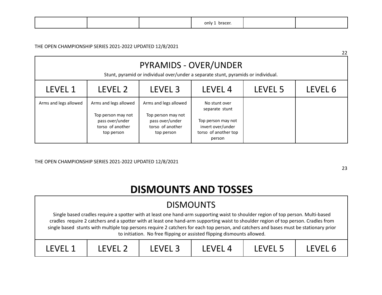|--|

|                       |                                                                                                  |                                                                                                  |                                                                                                                   |         | 22      |
|-----------------------|--------------------------------------------------------------------------------------------------|--------------------------------------------------------------------------------------------------|-------------------------------------------------------------------------------------------------------------------|---------|---------|
|                       |                                                                                                  |                                                                                                  | <b>PYRAMIDS - OVER/UNDER</b><br>Stunt, pyramid or individual over/under a separate stunt, pyramids or individual. |         |         |
| LEVEL 1               | LEVEL 2                                                                                          | LEVEL <sub>3</sub>                                                                               | LEVEL <sub>4</sub>                                                                                                | LEVEL 5 | LEVEL 6 |
| Arms and legs allowed | Arms and legs allowed<br>Top person may not<br>pass over/under<br>torso of another<br>top person | Arms and legs allowed<br>Top person may not<br>pass over/under<br>torso of another<br>top person | No stunt over<br>separate stunt<br>Top person may not<br>invert over/under<br>torso of another top<br>person      |         |         |

THE OPEN CHAMPIONSHIP SERIES 2021-2022 UPDATED 12/8/2021

# **DISMOUNTS AND TOSSES**

| <b>DISMOUNTS</b> |         |         |                                                                                                                                                                                                                                                                                                                                                                                                                                                                                             |         |         |
|------------------|---------|---------|---------------------------------------------------------------------------------------------------------------------------------------------------------------------------------------------------------------------------------------------------------------------------------------------------------------------------------------------------------------------------------------------------------------------------------------------------------------------------------------------|---------|---------|
|                  |         |         | Single based cradles require a spotter with at least one hand-arm supporting waist to shoulder region of top person. Multi-based<br>cradles require 2 catchers and a spotter with at least one hand-arm supporting waist to shoulder region of top person. Cradles from<br>single based stunts with multiple top persons require 2 catchers for each top person, and catchers and bases must be stationary prior<br>to initiation. No free flipping or assisted flipping dismounts allowed. |         |         |
| LFVFL 1          | LFVFI 2 | LEVEL 3 | LFVFL <sub>4</sub>                                                                                                                                                                                                                                                                                                                                                                                                                                                                          | LFVFL 5 | LEVEL 6 |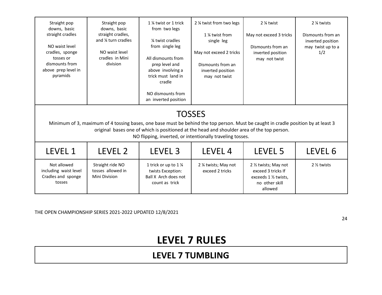| Straight pop<br>downs, basic<br>straight cradles<br>NO waist level<br>cradles, sponge<br>tosses or<br>dismounts from<br>above prep level in<br>pyramids | Straight pop<br>downs, basic<br>straight cradles,<br>and % turn cradles<br>NO waist level<br>cradles in Mini<br>division          | 1 % twist or 1 trick<br>from two legs<br>1/4 twist cradles<br>from single leg<br>All dismounts from<br>prep level and<br>above involving a<br>trick must land in<br>cradle<br>NO dismounts from<br>an inverted position | 2 % twist from two legs<br>1 % twist from<br>single leg<br>May not exceed 2 tricks<br>Dismounts from an<br>inverted position<br>may not twist                            | 2 % twist<br>May not exceed 3 tricks<br>Dismounts from an<br>inverted position<br>may not twist | 2 % twists<br>Dismounts from an<br>inverted position<br>may twist up to a<br>1/2 |
|---------------------------------------------------------------------------------------------------------------------------------------------------------|-----------------------------------------------------------------------------------------------------------------------------------|-------------------------------------------------------------------------------------------------------------------------------------------------------------------------------------------------------------------------|--------------------------------------------------------------------------------------------------------------------------------------------------------------------------|-------------------------------------------------------------------------------------------------|----------------------------------------------------------------------------------|
|                                                                                                                                                         | Minimum of 3, maximum of 4 tossing bases, one base must be behind the top person. Must be caught in cradle position by at least 3 |                                                                                                                                                                                                                         | <b>TOSSES</b><br>original bases one of which is positioned at the head and shoulder area of the top person.<br>NO flipping, inverted, or intentionally traveling tosses. |                                                                                                 |                                                                                  |
| LEVEL 1                                                                                                                                                 | LEVEL 2                                                                                                                           | LEVEL <sub>3</sub>                                                                                                                                                                                                      | LEVEL 4                                                                                                                                                                  | LEVEL 5                                                                                         | LEVEL 6                                                                          |
| Not allowed<br>including waist level<br>Cradles and sponge<br>tosses                                                                                    | Straight ride NO<br>tosses allowed in<br>Mini Division                                                                            | 1 trick or up to 1 1⁄4<br>twists Exception:<br>Ball X Arch does not<br>count as trick                                                                                                                                   | 2 % twists; May not<br>exceed 2 tricks                                                                                                                                   | 2 1/2 twists; May not<br>exceed 3 tricks If<br>exceeds 1 % twists,<br>no other skill<br>allowed | 2 1/2 twists                                                                     |

## **LEVEL 7 RULES**

### **LEVEL 7 TUMBLING**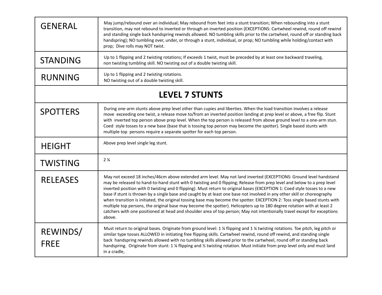| <b>GENERAL</b>          | May jump/rebound over an individual; May rebound from feet into a stunt transition; When rebounding into a stunt<br>transition, may not rebound to inverted or through an inverted position (EXCEPTIONS: Cartwheel rewind, round off rewind<br>and standing single back handspring rewinds allowed. NO tumbling skills prior to the cartwheel, round off or standing back<br>handspring); NO tumbling over, under, or through a stunt, individual, or prop; NO tumbling while holding/contact with<br>prop; Dive rolls may NOT twist.                                                                                                                                                                                                                                                                                                                                                               |
|-------------------------|-----------------------------------------------------------------------------------------------------------------------------------------------------------------------------------------------------------------------------------------------------------------------------------------------------------------------------------------------------------------------------------------------------------------------------------------------------------------------------------------------------------------------------------------------------------------------------------------------------------------------------------------------------------------------------------------------------------------------------------------------------------------------------------------------------------------------------------------------------------------------------------------------------|
| <b>STANDING</b>         | Up to 1 flipping and 2 twisting rotations; If exceeds 1 twist, must be preceded by at least one backward traveling,<br>non twisting tumbling skill. NO twisting out of a double twisting skill.                                                                                                                                                                                                                                                                                                                                                                                                                                                                                                                                                                                                                                                                                                     |
| <b>RUNNING</b>          | Up to 1 flipping and 2 twisting rotations.<br>NO twisting out of a double twisting skill.                                                                                                                                                                                                                                                                                                                                                                                                                                                                                                                                                                                                                                                                                                                                                                                                           |
|                         | <b>LEVEL 7 STUNTS</b>                                                                                                                                                                                                                                                                                                                                                                                                                                                                                                                                                                                                                                                                                                                                                                                                                                                                               |
| <b>SPOTTERS</b>         | During one-arm stunts above prep level other than cupies and liberties. When the load transition involves a release<br>move exceeding one twist, a release move to/from an inverted position landing at prep level or above, a free flip. Stunt<br>with inverted top person above prep level. When the top person is released from above ground level to a one-arm stun.<br>Coed style tosses to a new base (base that is tossing top person may become the spotter). Single based stunts with<br>multiple top persons require a separate spotter for each top person.                                                                                                                                                                                                                                                                                                                              |
| <b>HEIGHT</b>           | Above prep level single leg stunt.                                                                                                                                                                                                                                                                                                                                                                                                                                                                                                                                                                                                                                                                                                                                                                                                                                                                  |
| <b>TWISTING</b>         | 2 <sub>4</sub>                                                                                                                                                                                                                                                                                                                                                                                                                                                                                                                                                                                                                                                                                                                                                                                                                                                                                      |
| <b>RELEASES</b>         | May not exceed 18 inches/46cm above extended arm level. May not land inverted (EXCEPTIONS: Ground level handstand<br>may be released to hand-to-hand stunt with 0 twisting and 0 flipping; Release from prep level and below to a prep level<br>inverted position with 0 twisting and 0 flipping). Must return to original bases (EXCEPTION 1: Coed style tosses to a new<br>base if stunt is thrown by a single base and caught by at least one base not involved in any other skill or choreography<br>when transition is initiated, the original tossing base may become the spotter. EXCEPTION 2: Toss single based stunts with<br>multiple top persons, the original base may become the spotter). Helicopters up to 180 degree rotation with at least 2<br>catchers with one positioned at head and shoulder area of top person; May not intentionally travel except for exceptions<br>above. |
| REWINDS/<br><b>FREE</b> | Must return to original bases. Originate from ground level: 1 % flipping and 1 % twisting rotations. Toe pitch, leg pitch or<br>similar type tosses ALLOWED in initiating free flipping skills. Cartwheel rewind, round off rewind, and standing single<br>back handspring rewinds allowed with no tumbling skills allowed prior to the cartwheel, round off or standing back<br>handspring. Originate from stunt: 1 % flipping and % twisting rotation. Must initiate from prep level only and must land<br>in a cradle,                                                                                                                                                                                                                                                                                                                                                                           |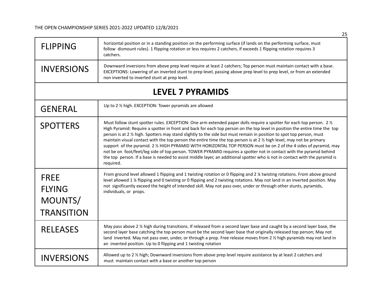| <b>FLIPPING</b>                                              | horizontal position or in a standing position on the performing surface (if lands on the performing surface, must<br>follow dismount rules). 1 flipping rotation or less requires 2 catchers, if exceeds 1 flipping rotation requires 3<br>catchers.                                                                                                                                                                                                                                                                                                                                                                                                                                                                                                                                                                                                                                                  |
|--------------------------------------------------------------|-------------------------------------------------------------------------------------------------------------------------------------------------------------------------------------------------------------------------------------------------------------------------------------------------------------------------------------------------------------------------------------------------------------------------------------------------------------------------------------------------------------------------------------------------------------------------------------------------------------------------------------------------------------------------------------------------------------------------------------------------------------------------------------------------------------------------------------------------------------------------------------------------------|
| <b>INVERSIONS</b>                                            | Downward inversions from above prep level require at least 2 catchers; Top person must maintain contact with a base.<br>EXCEPTIONS: Lowering of an inverted stunt to prep level, passing above prep level to prep level, or from an extended<br>non inverted to inverted stunt at prep level.                                                                                                                                                                                                                                                                                                                                                                                                                                                                                                                                                                                                         |
|                                                              | <b>LEVEL 7 PYRAMIDS</b>                                                                                                                                                                                                                                                                                                                                                                                                                                                                                                                                                                                                                                                                                                                                                                                                                                                                               |
| <b>GENERAL</b>                                               | Up to 2 % high. EXCEPTION: Tower pyramids are allowed                                                                                                                                                                                                                                                                                                                                                                                                                                                                                                                                                                                                                                                                                                                                                                                                                                                 |
| <b>SPOTTERS</b>                                              | Must follow stunt spotter rules. EXCEPTION: One arm extended paper dolls require a spotter for each top person. 2 1/2<br>High Pyramid: Require a spotter in front and back for each top person on the top level in position the entire time the top<br>person is at 2 % high. Spotters may stand slightly to the side but must remain in position to spot top person, must<br>maintain visual contact with the top person the entire time the top person is at 2 $\frac{1}{2}$ high level, may not be primary<br>support of the pyramid. 2 1/2 HIGH PYRAMID WITH HORIZONTAL TOP PERSON must be on 2 of the 4 sides of pyramid, may<br>not be on foot/feet/leg side of top person. TOWER PYRAMID requires a spotter not in contact with the pyramid behind<br>the top person. If a base is needed to assist middle layer, an additional spotter who is not in contact with the pyramid is<br>required. |
| <b>FREE</b><br><b>FLYING</b><br>MOUNTS/<br><b>TRANSITION</b> | From ground level allowed 1 flipping and 1 twisting rotation or 0 flipping and 2 % twisting rotations. From above ground<br>level allowed 1 % flipping and 0 twisting or 0 flipping and 2 twisting rotations. May not land in an inverted position. May<br>not significantly exceed the height of intended skill. May not pass over, under or through other stunts, pyramids,<br>individuals, or props.                                                                                                                                                                                                                                                                                                                                                                                                                                                                                               |
| <b>RELEASES</b>                                              | May pass above 2 1/2 high during transitions. If released from a second layer base and caught by a second layer base, the<br>second layer base catching the top person must be the second layer base that originally released top person; May not<br>land inverted. May not pass over, under, or through a prop. Free release moves from 2 1/2 high pyramids may not land in<br>an inverted position. Up to 0 flipping and 1 twisting rotation                                                                                                                                                                                                                                                                                                                                                                                                                                                        |
| <b>INVERSIONS</b>                                            | Allowed up to 2 1/2 high; Downward inversions from above prep level require assistance by at least 2 catchers and<br>must maintain contact with a base or another top person                                                                                                                                                                                                                                                                                                                                                                                                                                                                                                                                                                                                                                                                                                                          |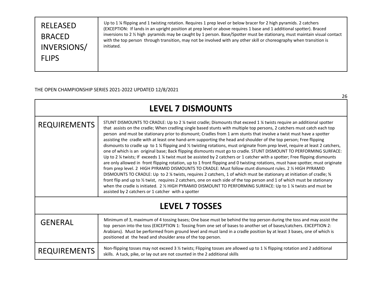| <b>RELEASED</b><br><b>BRACED</b><br>INVERSIONS/<br><b>FLIPS</b> | Up to 1 % flipping and 1 twisting rotation. Requires 1 prep level or below bracer for 2 high pyramids. 2 catchers<br>(EXCEPTION: If lands in an upright position at prep level or above requires 1 base and 1 additional spotter). Braced<br>inversions to 2 % high pyramids may be caught by 1 person. Base/Spotter must be stationary, must maintain visual contact<br>with the top person through transition, may not be involved with any other skill or choreography when transition is<br>initiated. |
|-----------------------------------------------------------------|------------------------------------------------------------------------------------------------------------------------------------------------------------------------------------------------------------------------------------------------------------------------------------------------------------------------------------------------------------------------------------------------------------------------------------------------------------------------------------------------------------|
|-----------------------------------------------------------------|------------------------------------------------------------------------------------------------------------------------------------------------------------------------------------------------------------------------------------------------------------------------------------------------------------------------------------------------------------------------------------------------------------------------------------------------------------------------------------------------------------|

26

| <b>LEVEL 7 DISMOUNTS</b> |                                                                                                                                                                                                                                                                                                                                                                                                                                                                                                                                                                                                                                                                                                                                                                                                                                                                                                                                                                                                                                                                                                                                                                                                                                                                                                                                                                                                                                                                                                                                                         |
|--------------------------|---------------------------------------------------------------------------------------------------------------------------------------------------------------------------------------------------------------------------------------------------------------------------------------------------------------------------------------------------------------------------------------------------------------------------------------------------------------------------------------------------------------------------------------------------------------------------------------------------------------------------------------------------------------------------------------------------------------------------------------------------------------------------------------------------------------------------------------------------------------------------------------------------------------------------------------------------------------------------------------------------------------------------------------------------------------------------------------------------------------------------------------------------------------------------------------------------------------------------------------------------------------------------------------------------------------------------------------------------------------------------------------------------------------------------------------------------------------------------------------------------------------------------------------------------------|
| <b>REQUIREMENTS</b>      | STUNT DISMOUNTS TO CRADLE: Up to 2 % twist cradle; Dismounts that exceed 1 % twists require an additional spotter<br>that assists on the cradle; When cradling single based stunts with multiple top persons, 2 catchers must catch each top<br>person and must be stationary prior to dismount; Cradles from 1 arm stunts that involve a twist must have a spotter<br>assisting the cradle with at least one hand-arm supporting the head and shoulder of the top person; Free flipping<br>dismounts to cradle up to 1 % flipping and % twisting rotations, must originate from prep level, require at least 2 catchers,<br>one of which is an original base; Back flipping dismounts must go to cradle. STUNT DISMOUNT TO PERFORMING SURFACE:<br>Up to 2 % twists; If exceeds 1 % twist must be assisted by 2 catchers or 1 catcher with a spotter; Free flipping dismounts<br>are only allowed in front flipping rotation, up to 1 front flipping and 0 twisting rotations, must have spotter, must originate<br>from prep level. 2 HIGH PYRAMID DISMOUNTS TO CRADLE: Must follow stunt dismount rules. 2 1/2 HIGH PYRAMID<br>DISMOUNTS TO CRADLE: Up to 2 ¼ twists, requires 2 catchers, 1 of which must be stationary at initiation of cradle; %<br>front flip and up to 1/2 twist, requires 2 catchers, one on each side of the top person and 1 of which must be stationary<br>when the cradle is initiated. 2 % HIGH PYRAMID DISMOUNT TO PERFORMING SURFACE: Up to 1 % twists and must be<br>assisted by 2 catchers or 1 catcher with a spotter |
| <b>LEVEL 7 TOSSES</b>    |                                                                                                                                                                                                                                                                                                                                                                                                                                                                                                                                                                                                                                                                                                                                                                                                                                                                                                                                                                                                                                                                                                                                                                                                                                                                                                                                                                                                                                                                                                                                                         |
| <b>GENERAL</b>           | Minimum of 3, maximum of 4 tossing bases; One base must be behind the top person during the toss and may assist the<br>top person into the toss (EXCEPTION 1: Tossing from one set of bases to another set of bases/catchers. EXCEPTION 2:<br>Arabians). Must be performed from ground level and must land in a cradle position by at least 3 bases, one of which is<br>positioned at the head and shoulder area of the top person.                                                                                                                                                                                                                                                                                                                                                                                                                                                                                                                                                                                                                                                                                                                                                                                                                                                                                                                                                                                                                                                                                                                     |
| <b>REQUIREMENTS</b>      | Non-flipping tosses may not exceed 3 1/2 twists; Flipping tosses are allowed up to 1 1/4 flipping rotation and 2 additional<br>skills. A tuck, pike, or lay out are not counted in the 2 additional skills                                                                                                                                                                                                                                                                                                                                                                                                                                                                                                                                                                                                                                                                                                                                                                                                                                                                                                                                                                                                                                                                                                                                                                                                                                                                                                                                              |